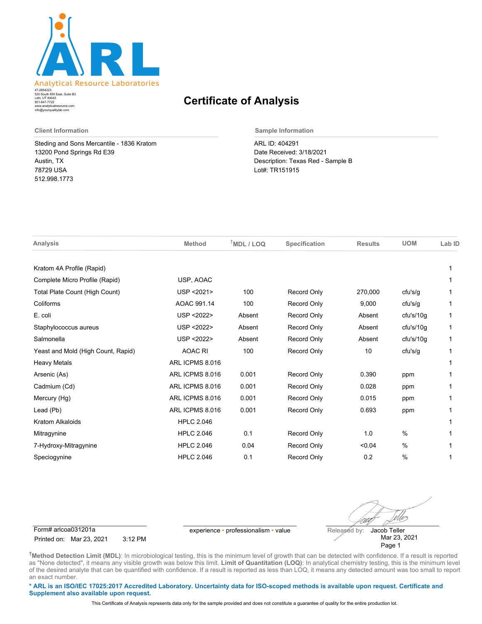

520 South 850 East, Suite B3 Lehi, UT 84043 47-2854223 801-847-7722 www.analyticalresource.com info@yourqualitylab.com

## **Certificate of Analysis**

Steding and Sons Mercantile - 1836 Kratom 13200 Pond Springs Rd E39 Austin, TX 78729 USA 512.998.1773

**Client Information Sample Information**

ARL ID: 404291 Date Received: 3/18/2021 Description: Texas Red - Sample B Lot#: TR151915

| Analysis                           | <b>Method</b>     | $T$ MDL / LOQ | Specification      | <b>Results</b> | <b>UOM</b>    | Lab ID |
|------------------------------------|-------------------|---------------|--------------------|----------------|---------------|--------|
| Kratom 4A Profile (Rapid)          |                   |               |                    |                |               |        |
| Complete Micro Profile (Rapid)     | USP, AOAC         |               |                    |                |               |        |
| Total Plate Count (High Count)     | USP <2021>        | 100           | <b>Record Only</b> | 270,000        | cfu's/g       |        |
| Coliforms                          | AOAC 991.14       | 100           | <b>Record Only</b> | 9,000          | cfu's/g       |        |
| E. coli                            | USP <2022>        | Absent        | <b>Record Only</b> | Absent         | cfu's/10q     | 1      |
| Staphylococcus aureus              | USP <2022>        | Absent        | <b>Record Only</b> | Absent         | cfu's/10q     | 1      |
| Salmonella                         | USP <2022>        | Absent        | <b>Record Only</b> | Absent         | cfu's/10g     | 1      |
| Yeast and Mold (High Count, Rapid) | <b>AOAC RI</b>    | 100           | Record Only        | 10             | cfu's/g       |        |
| <b>Heavy Metals</b>                | ARL ICPMS 8.016   |               |                    |                |               |        |
| Arsenic (As)                       | ARL ICPMS 8.016   | 0.001         | <b>Record Only</b> | 0.390          | ppm           |        |
| Cadmium (Cd)                       | ARL ICPMS 8.016   | 0.001         | <b>Record Only</b> | 0.028          | ppm           |        |
| Mercury (Hg)                       | ARL ICPMS 8.016   | 0.001         | <b>Record Only</b> | 0.015          | ppm           |        |
| Lead (Pb)                          | ARL ICPMS 8.016   | 0.001         | <b>Record Only</b> | 0.693          | ppm           |        |
| <b>Kratom Alkaloids</b>            | <b>HPLC 2.046</b> |               |                    |                |               |        |
| Mitragynine                        | <b>HPLC 2.046</b> | 0.1           | <b>Record Only</b> | 1.0            | $\frac{0}{0}$ |        |
| 7-Hydroxy-Mitragynine              | <b>HPLC 2.046</b> | 0.04          | <b>Record Only</b> | < 0.04         | $\%$          |        |
| Speciogynine                       | <b>HPLC 2.046</b> | 0.1           | <b>Record Only</b> | 0.2            | $\%$          |        |

Form# arlcoa031201a experience • professionalism • value Released by:

Printed on: Mar 23, 2021 3:12 PM

Uv Jacob Teller

Mar 23, 2021 Page 1

**†Method Detection Limit (MDL)**: In microbiological testing, this is the minimum level of growth that can be detected with confidence. If a result is reported as "None detected", it means any visible growth was below this limit. **Limit of Quantitation (LOQ)**: In analytical chemistry testing, this is the minimum level of the desired analyte that can be quantified with confidence. If a result is reported as less than LOQ, it means any detected amount was too small to report an exact number.

**\* ARL is an ISO/IEC 17025:2017 Accredited Laboratory. Uncertainty data for ISO-scoped methods is available upon request. Certificate and Supplement also available upon request.**